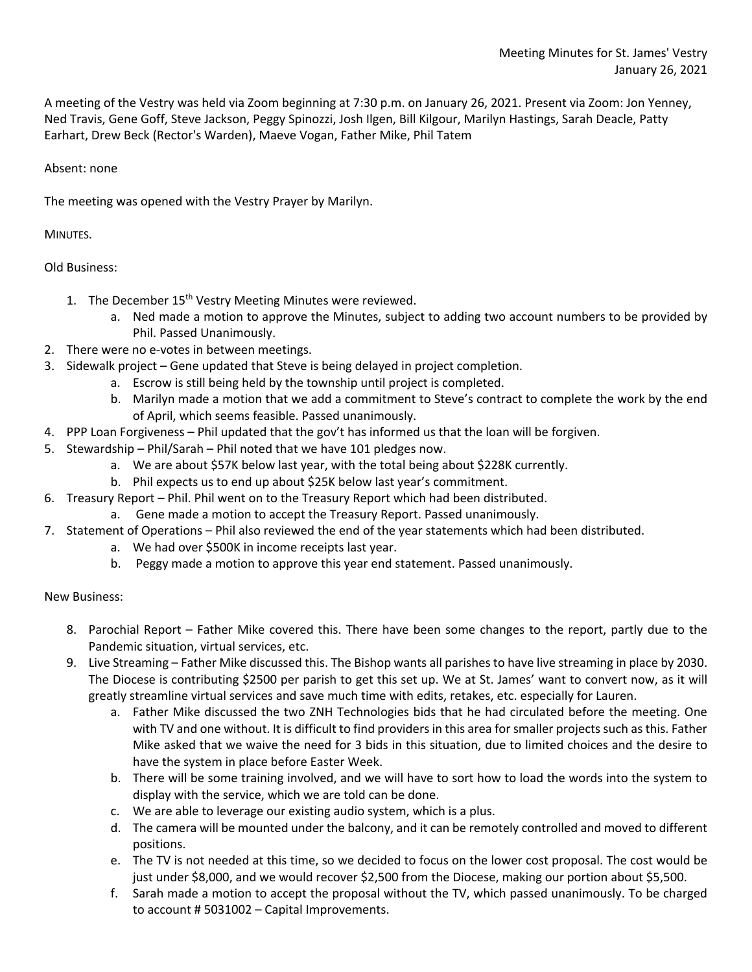A meeting of the Vestry was held via Zoom beginning at 7:30 p.m. on January 26, 2021. Present via Zoom: Jon Yenney, Ned Travis, Gene Goff, Steve Jackson, Peggy Spinozzi, Josh Ilgen, Bill Kilgour, Marilyn Hastings, Sarah Deacle, Patty Earhart, Drew Beck (Rector's Warden), Maeve Vogan, Father Mike, Phil Tatem

## Absent: none

The meeting was opened with the Vestry Prayer by Marilyn.

MINUTES.

Old Business:

- 1. The December 15<sup>th</sup> Vestry Meeting Minutes were reviewed.
	- a. Ned made a motion to approve the Minutes, subject to adding two account numbers to be provided by Phil. Passed Unanimously.
- 2. There were no e-votes in between meetings.
- 3. Sidewalk project Gene updated that Steve is being delayed in project completion.
	- a. Escrow is still being held by the township until project is completed.
		- b. Marilyn made a motion that we add a commitment to Steve's contract to complete the work by the end of April, which seems feasible. Passed unanimously.
- 4. PPP Loan Forgiveness Phil updated that the gov't has informed us that the loan will be forgiven.
- 5. Stewardship Phil/Sarah Phil noted that we have 101 pledges now.
	- a. We are about \$57K below last year, with the total being about \$228K currently.
	- b. Phil expects us to end up about \$25K below last year's commitment.
- 6. Treasury Report Phil. Phil went on to the Treasury Report which had been distributed.
	- a. Gene made a motion to accept the Treasury Report. Passed unanimously.
- 7. Statement of Operations Phil also reviewed the end of the year statements which had been distributed.
	- a. We had over \$500K in income receipts last year.
	- b. Peggy made a motion to approve this year end statement. Passed unanimously.

## New Business:

- 8. Parochial Report Father Mike covered this. There have been some changes to the report, partly due to the Pandemic situation, virtual services, etc.
- 9. Live Streaming Father Mike discussed this. The Bishop wants all parishes to have live streaming in place by 2030. The Diocese is contributing \$2500 per parish to get this set up. We at St. James' want to convert now, as it will greatly streamline virtual services and save much time with edits, retakes, etc. especially for Lauren.
	- a. Father Mike discussed the two ZNH Technologies bids that he had circulated before the meeting. One with TV and one without. It is difficult to find providers in this area for smaller projects such as this. Father Mike asked that we waive the need for 3 bids in this situation, due to limited choices and the desire to have the system in place before Easter Week.
	- b. There will be some training involved, and we will have to sort how to load the words into the system to display with the service, which we are told can be done.
	- c. We are able to leverage our existing audio system, which is a plus.
	- d. The camera will be mounted under the balcony, and it can be remotely controlled and moved to different positions.
	- e. The TV is not needed at this time, so we decided to focus on the lower cost proposal. The cost would be just under \$8,000, and we would recover \$2,500 from the Diocese, making our portion about \$5,500.
	- f. Sarah made a motion to accept the proposal without the TV, which passed unanimously. To be charged to account # 5031002 – Capital Improvements.